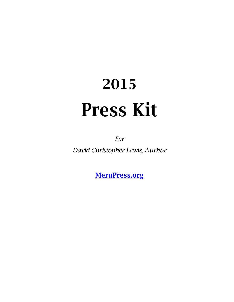# 2015 Press Kit

*For*

*David Christopher Lewis, Author*

MeruPress.org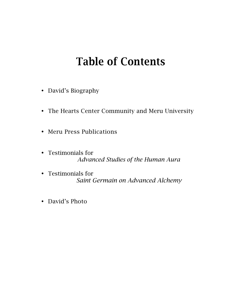## Table of Contents

- David's Biography
- The Hearts Center Community and Meru University
- Meru Press Publications
- Testimonials for *Advanced Studies of the Human Aura*
- Testimonials for  *Saint Germain on Advanced Alchemy*
- David's Photo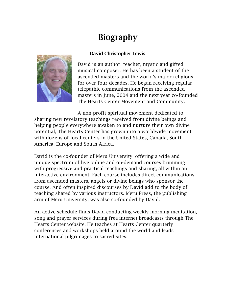## Biography

#### David Christopher Lewis



David is an author, teacher, mystic and gifted musical composer. He has been a student of the ascended masters and the world's major religions for over four decades. He began receiving regular telepathic communications from the ascended masters in June, 2004 and the next year co-founded The Hearts Center Movement and Community.

A non-profit spiritual movement dedicated to sharing new revelatory teachings received from divine beings and helping people everywhere awaken to and nurture their own divine potential, The Hearts Center has grown into a worldwide movement with dozens of local centers in the United States, Canada, South America, Europe and South Africa.

David is the co-founder of Meru University, offering a wide and unique spectrum of live online and on-demand courses brimming with progressive and practical teachings and sharing, all within an interactive environment. Each course includes direct communications from ascended masters, angels or divine beings who sponsor the course. And often inspired discourses by David add to the body of teaching shared by various instructors. Meru Press, the publishing arm of Meru University, was also co-founded by David.

An active schedule finds David conducting weekly morning meditation, song and prayer services during free internet broadcasts through The Hearts Center website. He teaches at Hearts Center quarterly conferences and workshops held around the world and leads international pilgrimages to sacred sites.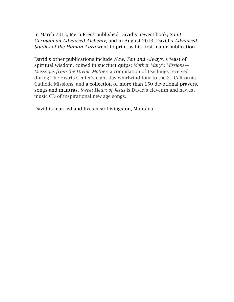In March 2015, Meru Press published David's newest book, *Saint Germain on Advanced Alchemy,* and in August 2013, David's *Advanced Studies of the Human Aura* went to print as his first major publication.

David's other publications include *Now, Zen and Always*, a feast of spiritual wisdom, coined in succinct quips; *Mother Mary's Missions— Messages from the Divine Mother*, a compilation of teachings received during The Hearts Center's eight-day whirlwind tour to the 21 California Catholic Missions; and a collection of more than 150 devotional prayers, songs and mantras. *Sweet Heart of Jesus* is David's eleventh and newest music CD of inspirational new age songs.

David is married and lives near Livingston, Montana.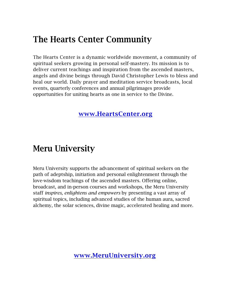## The Hearts Center Community

The Hearts Center is a dynamic worldwide movement, a community of spiritual seekers growing in personal self-mastery. Its mission is to deliver current teachings and inspiration from the ascended masters, angels and divine beings through David Christopher Lewis to bless and heal our world. Daily prayer and meditation service broadcasts, local events, quarterly conferences and annual pilgrimages provide opportunities for uniting hearts as one in service to the Divine.

#### www.HeartsCenter.org

## Meru University

Meru University supports the advancement of spiritual seekers on the path of adeptship, initiation and personal enlightenment through the love-wisdom teachings of the ascended masters. Offering online, broadcast, and in-person courses and workshops, the Meru University staff *inspires, enlightens and empowers* by presenting a vast array of spiritual topics, including advanced studies of the human aura, sacred alchemy, the solar sciences, divine magic, accelerated healing and more.

www.MeruUniversity.org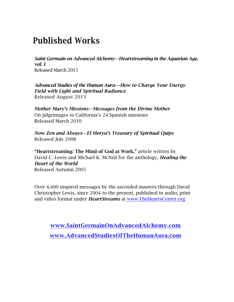## Published Works

*Saint Germain on Advanced Alchemy—Heartstreaming in the Aquarian Age, vol. 1* Released March 2015

*Advanced Studies of the Human Aura-—How to Charge Your Energy Field with Light and Spiritual Radiance* Released August 2013

*Mother Mary's Missions—Messages from the Divine Mother* On pilgrimages to California's 24 Spanish missions Released March 2010

*Now Zen and Always—El Morya's Treasury of Spiritual Quips* Released July 2008

"Heartstreaming: The Mind of God at Work," article written by David C. Lewis and Michael K. McNeil for the anthology, *Healing the Heart of the World* Released Autumn 2005

Over 4,400 inspired messages by the ascended masters through David Christopher Lewis, since 2004 to the present, published in audio, print and video format under *HeartStreams* at www.TheHeartsCenter.org

www.SaintGermainOnAdvancedAlchemy.com www.AdvancedStudiesOfTheHumanAura.com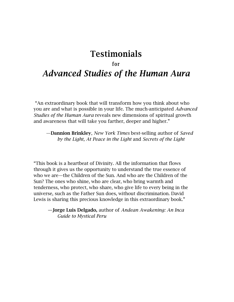### Testimonials

#### for

### *Advanced Studies of the Human Aura*

"An extraordinary book that will transform how you think about who you are and what is possible in your life. The much-anticipated *Advanced Studies of the Human Aura* reveals new dimensions of spiritual growth and awareness that will take you farther, deeper and higher."

 —Dannion Brinkley, *New York Times* best-selling author of *Saved by the Light, At Peace in the Light* and *Secrets of the Light*

"This book is a heartbeat of Divinity. All the information that flows through it gives us the opportunity to understand the true essence of who we are—the Children of the Sun. And who are the Children of the Sun? The ones who shine, who are clear, who bring warmth and tenderness, who protect, who share, who give life to every being in the universe, such as the Father Sun does, without discrimination. David Lewis is sharing this precious knowledge in this extraordinary book."

 —Jorge Luis Delgado, author of *Andean Awakening: An Inca Guide to Mystical Peru*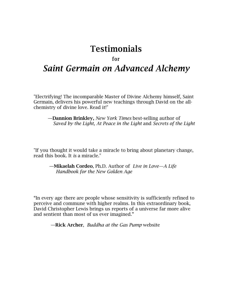#### Testimonials

#### for

## *Saint Germain on Advanced Alchemy*

"Electrifying! The incomparable Master of Divine Alchemy himself, Saint Germain, delivers his powerful new teachings through David on the allchemistry of divine love. Read it!"

 —Dannion Brinkley, *New York Times* best-selling author of *Saved by the Light, At Peace in the Light* and *Secrets of the Light*

"If you thought it would take a miracle to bring about planetary change, read this book. It *is* a miracle."

 —Mikaelah Cordeo, Ph.D. Author of *Live in Love—A Life Handbook for the New Golden Age*

"In every age there are people whose sensitivity is sufficiently refined to perceive and commune with higher realms. In this extraordinary book, David Christopher Lewis brings us reports of a universe far more alive and sentient than most of us ever imagined."

—Rick Archer, *Buddha at the Gas Pump* website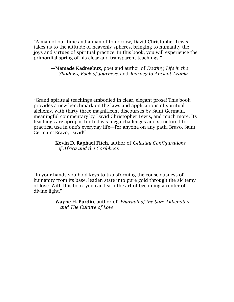"A man of our time and a man of tomorrow, David Christopher Lewis takes us to the altitude of heavenly spheres, bringing to humanity the joys and virtues of spiritual practice. In this book, you will experience the primordial spring of his clear and transparent teachings."

#### —Mamade Kadreebux, poet and author of *Destiny, Life in the Shadows, Book of Journeys,* and *Journey to Ancient Arabia*

"Grand spiritual teachings embodied in clear, elegant prose! This book provides a new benchmark on the laws and applications of spiritual alchemy, with thirty-three magnificent discourses by Saint Germain, meaningful commentary by David Christopher Lewis, and much more. Its teachings are apropos for today's mega-challenges and structured for practical use in one's everyday life—for anyone on any path. Bravo, Saint Germain! Bravo, David!"

#### —Kevin D. Raphael Fitch, author of *Celestial Configurations of Africa and the Caribbean*

"In your hands you hold keys to transforming the consciousness of humanity from its base, leaden state into pure gold through the alchemy of love. With this book you can learn the art of becoming a center of divine light."

> —Wayne H. Purdin, author of *Pharaoh of the Sun: Akhenaten and The Culture of Love*